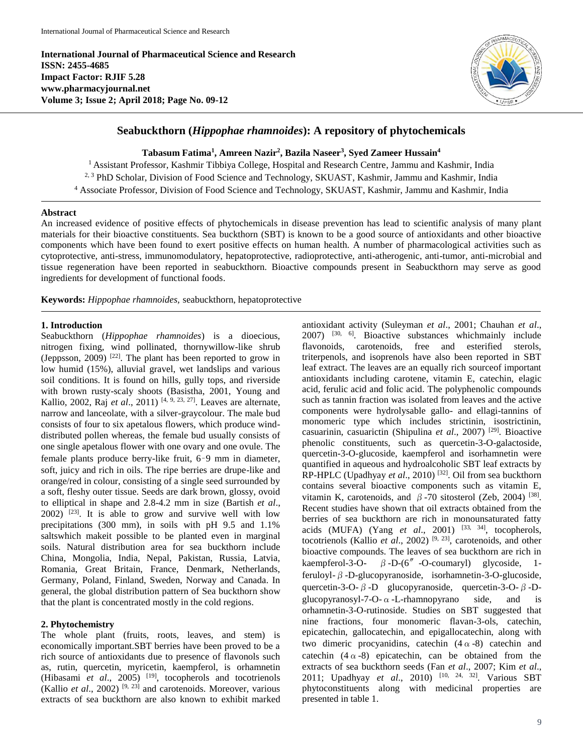**International Journal of Pharmaceutical Science and Research ISSN: 2455-4685 Impact Factor: RJIF 5.28 www.pharmacyjournal.net Volume 3; Issue 2; April 2018; Page No. 09-12**



# **Seabuckthorn (***Hippophae rhamnoides***): A repository of phytochemicals**

**Tabasum Fatima<sup>1</sup> , Amreen Nazir<sup>2</sup> , Bazila Naseer<sup>3</sup> , Syed Zameer Hussain<sup>4</sup>**

<sup>1</sup> Assistant Professor, Kashmir Tibbiya College, Hospital and Research Centre, Jammu and Kashmir, India <sup>2, 3</sup> PhD Scholar, Division of Food Science and Technology, SKUAST, Kashmir, Jammu and Kashmir, India <sup>4</sup> Associate Professor, Division of Food Science and Technology, SKUAST, Kashmir, Jammu and Kashmir, India

#### **Abstract**

An increased evidence of positive effects of phytochemicals in disease prevention has lead to scientific analysis of many plant materials for their bioactive constituents. Sea buckthorn (SBT) is known to be a good source of antioxidants and other bioactive components which have been found to exert positive effects on human health. A number of pharmacological activities such as cytoprotective, anti-stress, immunomodulatory, hepatoprotective, radioprotective, anti-atherogenic, anti-tumor, anti-microbial and tissue regeneration have been reported in seabuckthorn. Bioactive compounds present in Seabuckthorn may serve as good ingredients for development of functional foods.

**Keywords:** *Hippophae rhamnoides,* seabuckthorn, hepatoprotective

## **1. Introduction**

Seabuckthorn (*Hippophae rhamnoides*) is a dioecious, nitrogen fixing, wind pollinated, thornywillow-like shrub (Jeppsson,  $2009$ )  $[22]$ . The plant has been reported to grow in low humid (15%), alluvial gravel, wet landslips and various soil conditions. It is found on hills, gully tops, and riverside with brown rusty-scaly shoots (Basistha, 2001, Young and Kallio, 2002, Raj *et al.*, 2011)<sup>[4, 9, 23, 27]. Leaves are alternate,</sup> narrow and lanceolate, with a silver-graycolour. The male bud consists of four to six apetalous flowers, which produce winddistributed pollen whereas, the female bud usually consists of one single apetalous flower with one ovary and one ovule. The female plants produce berry-like fruit, 6–9 mm in diameter, soft, juicy and rich in oils. The ripe berries are drupe-like and orange/red in colour, consisting of a single seed surrounded by a soft, fleshy outer tissue. Seeds are dark brown, glossy, ovoid to elliptical in shape and 2.8-4.2 mm in size (Bartish *et al*.,  $2002$ ) <sup>[23]</sup>. It is able to grow and survive well with low precipitations (300 mm), in soils with pH 9.5 and 1.1% saltswhich makeit possible to be planted even in marginal soils. Natural distribution area for sea buckthorn include China, Mongolia, India, Nepal, Pakistan, Russia, Latvia, Romania, Great Britain, France, Denmark, Netherlands, Germany, Poland, Finland, Sweden, Norway and Canada. In general, the global distribution pattern of Sea buckthorn show that the plant is concentrated mostly in the cold regions.

#### **2. Phytochemistry**

The whole plant (fruits, roots, leaves, and stem) is economically important.SBT berries have been proved to be a rich source of antioxidants due to presence of flavonols such as, rutin, quercetin, myricetin, kaempferol, is orhamnetin (Hibasami *et al.*, 2005)<sup>[19]</sup>, tocopherols and tocotrienols (Kallio *et al*., 2002) [9, 23] and carotenoids. Moreover, various extracts of sea buckthorn are also known to exhibit marked

antioxidant activity (Suleyman *et al*., 2001; Chauhan *et al*.,  $2007$ )  $^{[30, 6]}$ . Bioactive substances whichmainly include flavonoids, carotenoids, free and esterified sterols, triterpenols, and isoprenols have also been reported in SBT leaf extract. The leaves are an equally rich sourceof important antioxidants including carotene, vitamin E, catechin, elagic acid, ferulic acid and folic acid. The polyphenolic compounds such as tannin fraction was isolated from leaves and the active components were hydrolysable gallo- and ellagi-tannins of monomeric type which includes strictinin, isostrictinin, casuarinin, casuarictin (Shipulina et al., 2007)<sup>[29]</sup>. Bioactive phenolic constituents, such as quercetin-3-O-galactoside, quercetin-3-O-glucoside, kaempferol and isorhamnetin were quantified in aqueous and hydroalcoholic SBT leaf extracts by RP-HPLC (Upadhyay et al., 2010)<sup>[32]</sup>. Oil from sea buckthorn contains several bioactive components such as vitamin E, vitamin K, carotenoids, and  $β$ -70 sitosterol (Zeb, 2004) [38]. Recent studies have shown that oil extracts obtained from the berries of sea buckthorn are rich in monounsaturated fatty acids (MUFA) (Yang *et al*., 2001) [33, 34] , tocopherols, tocotrienols (Kallio *et al*., 2002) [9, 23] , carotenoids, and other bioactive compounds. The leaves of sea buckthorn are rich in kaempferol-3-O-  $\beta$ -D-(6<sup>"</sup> -O-coumaryl) glycoside, 1feruloyl-β-D-glucopyranoside, isorhamnetin-3-O-glucoside, quercetin-3-O-β-D glucopyranoside, quercetin-3-O-β-Dglucopyranosyl-7-O- $\alpha$ -L-rhamnopyrano side, and is orhamnetin-3-O-rutinoside. Studies on SBT suggested that nine fractions, four monomeric flavan-3-ols, catechin, epicatechin, gallocatechin, and epigallocatechin, along with two dimeric procyanidins, catechin  $(4 \alpha -8)$  catechin and catechin  $(4 \alpha -8)$  epicatechin, can be obtained from the extracts of sea buckthorn seeds (Fan *et al*., 2007; Kim *et al*., 2011; Upadhyay *et al*., 2010) [10, 24, 32] . Various SBT phytoconstituents along with medicinal properties are presented in table 1.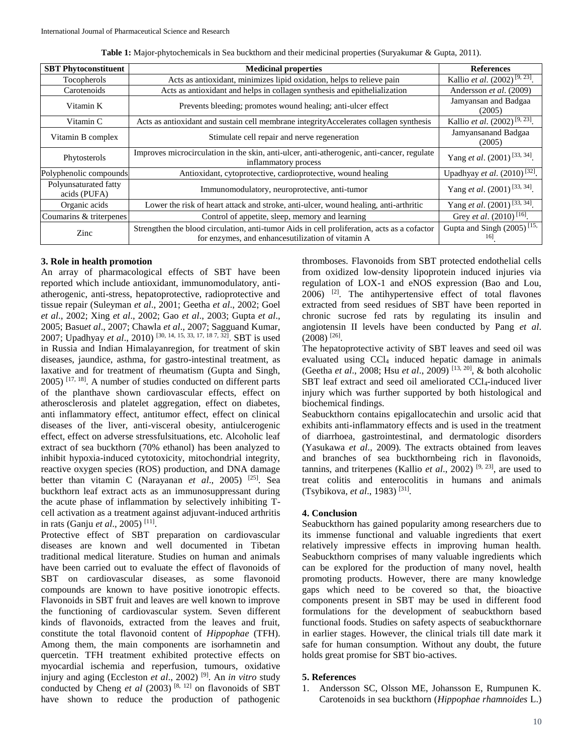| <b>SBT</b> Phytoconstituent           | <b>Medicinal properties</b>                                                                                                                      | <b>References</b>                             |
|---------------------------------------|--------------------------------------------------------------------------------------------------------------------------------------------------|-----------------------------------------------|
| Tocopherols                           | Acts as antioxidant, minimizes lipid oxidation, helps to relieve pain                                                                            | Kallio et al. $(2002)^{[9, 23]}$ .            |
| Carotenoids                           | Acts as antioxidant and helps in collagen synthesis and epithelialization                                                                        | Andersson et al. (2009)                       |
| Vitamin K                             | Prevents bleeding; promotes wound healing; anti-ulcer effect                                                                                     | Jamyansan and Badgaa<br>(2005)                |
| Vitamin C                             | Acts as antioxidant and sustain cell membrane integrity Accelerates collagen synthesis                                                           | Kallio et al. (2002) <sup>[9, 23]</sup> .     |
| Vitamin B complex                     | Stimulate cell repair and nerve regeneration                                                                                                     | Jamyansanand Badgaa<br>(2005)                 |
| Phytosterols                          | Improves microcirculation in the skin, anti-ulcer, anti-atherogenic, anti-cancer, regulate<br>inflammatory process                               | Yang et al. (2001) <sup>[33, 34]</sup> .      |
| Polyphenolic compounds                | Antioxidant, cytoprotective, cardioprotective, wound healing                                                                                     | Upadhyay et al. $(2010)^{[32]}$ .             |
| Polyunsaturated fatty<br>acids (PUFA) | Immunomodulatory, neuroprotective, anti-tumor                                                                                                    | Yang et al. (2001) <sup>[33, 34]</sup> .      |
| Organic acids                         | Lower the risk of heart attack and stroke, anti-ulcer, wound healing, anti-arthritic                                                             | Yang et al. (2001) <sup>[33, 34]</sup> .      |
| Coumarins & triterpenes               | Control of appetite, sleep, memory and learning                                                                                                  | Grey <i>et al.</i> $(2010)$ <sup>[16]</sup> . |
| Zinc                                  | Strengthen the blood circulation, anti-tumor Aids in cell proliferation, acts as a cofactor<br>for enzymes, and enhancesutilization of vitamin A | Gupta and Singh (2005) <sup>[15,</sup><br>161 |

**Table 1:** Major-phytochemicals in Sea buckthorn and their medicinal properties (Suryakumar & Gupta, 2011).

#### **3. Role in health promotion**

An array of pharmacological effects of SBT have been reported which include antioxidant, immunomodulatory, antiatherogenic, anti-stress, hepatoprotective, radioprotective and tissue repair (Suleyman *et al*., 2001; Geetha *et al*., 2002; Goel *et al*., 2002; Xing *et al*., 2002; Gao *et al*., 2003; Gupta *et al*., 2005; Basu*et al*., 2007; Chawla *et al*., 2007; Sagguand Kumar, 2007; Upadhyay *et al.*, 2010)<sup>[30, 14, 15, 33, 17, 18 7, 32]. SBT is used</sup> in Russia and Indian Himalayanregion, for treatment of skin diseases, jaundice, asthma, for gastro-intestinal treatment, as laxative and for treatment of rheumatism (Gupta and Singh,  $2005$ )  $^{[17, 18]}$ . A number of studies conducted on different parts of the planthave shown cardiovascular effects, effect on atherosclerosis and platelet aggregation, effect on diabetes, anti inflammatory effect, antitumor effect, effect on clinical diseases of the liver, anti-visceral obesity, antiulcerogenic effect, effect on adverse stressfulsituations, etc. Alcoholic leaf extract of sea buckthorn (70% ethanol) has been analyzed to inhibit hypoxia-induced cytotoxicity, mitochondrial integrity, reactive oxygen species (ROS) production, and DNA damage better than vitamin C (Narayanan *et al*., 2005) [25] . Sea buckthorn leaf extract acts as an immunosuppressant during the acute phase of inflammation by selectively inhibiting Tcell activation as a treatment against adjuvant-induced arthritis in rats (Ganju *et al*., 2005) [11] .

Protective effect of SBT preparation on cardiovascular diseases are known and well documented in Tibetan traditional medical literature. Studies on human and animals have been carried out to evaluate the effect of flavonoids of SBT on cardiovascular diseases, as some flavonoid compounds are known to have positive ionotropic effects. Flavonoids in SBT fruit and leaves are well known to improve the functioning of cardiovascular system. Seven different kinds of flavonoids, extracted from the leaves and fruit, constitute the total flavonoid content of *Hippophae* (TFH). Among them, the main components are isorhamnetin and quercetin. TFH treatment exhibited protective effects on myocardial ischemia and reperfusion, tumours, oxidative injury and aging (Eccleston *et al*., 2002) [9] . An *in vitro* study conducted by Cheng *et al* (2003)<sup>[8, 12]</sup> on flavonoids of SBT have shown to reduce the production of pathogenic

thromboses. Flavonoids from SBT protected endothelial cells from oxidized low-density lipoprotein induced injuries via regulation of LOX-1 and eNOS expression (Bao and Lou,  $2006$ )<sup>[2]</sup>. The antihypertensive effect of total flavones extracted from seed residues of SBT have been reported in chronic sucrose fed rats by regulating its insulin and angiotensin II levels have been conducted by Pang *et al*.  $(2008)$ <sup>[26]</sup>.

The hepatoprotective activity of SBT leaves and seed oil was evaluated using CCl<sup>4</sup> induced hepatic damage in animals (Geetha *et al*., 2008; Hsu *et al*., 2009) [13, 20] , & both alcoholic SBT leaf extract and seed oil ameliorated CCl4-induced liver injury which was further supported by both histological and biochemical findings.

Seabuckthorn contains epigallocatechin and ursolic acid that exhibits anti-inflammatory effects and is used in the treatment of diarrhoea, gastrointestinal, and dermatologic disorders (Yasukawa *et al*., 2009). The extracts obtained from leaves and branches of sea buckthornbeing rich in flavonoids, tannins, and triterpenes (Kallio *et al.*, 2002)<sup>[9, 23]</sup>, are used to treat colitis and enterocolitis in humans and animals (Tsybikova*, et al*., 1983) [31] .

### **4. Conclusion**

Seabuckthorn has gained popularity among researchers due to its immense functional and valuable ingredients that exert relatively impressive effects in improving human health. Seabuckthorn comprises of many valuable ingredients which can be explored for the production of many novel, health promoting products. However, there are many knowledge gaps which need to be covered so that, the bioactive components present in SBT may be used in different food formulations for the development of seabuckthorn based functional foods. Studies on safety aspects of seabuckthornare in earlier stages. However, the clinical trials till date mark it safe for human consumption. Without any doubt, the future holds great promise for SBT bio-actives.

#### **5. References**

1. Andersson SC, Olsson ME, Johansson E, Rumpunen K. Carotenoids in sea buckthorn (*Hippophae rhamnoides* L.)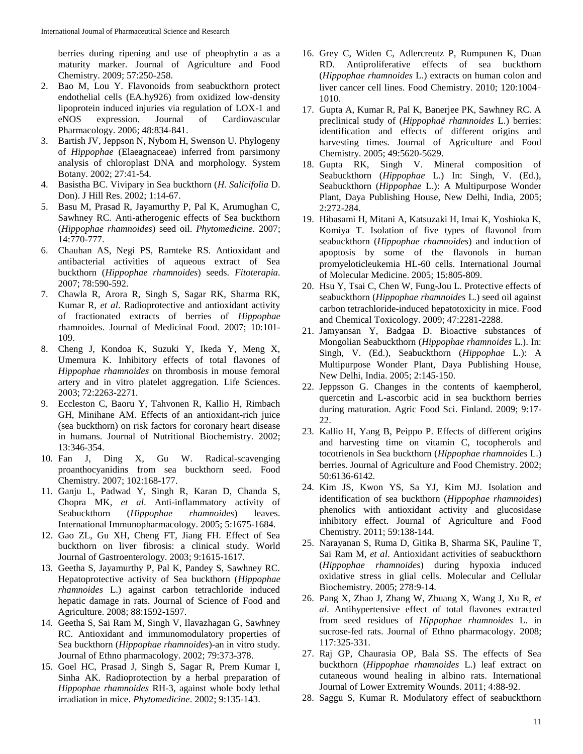berries during ripening and use of pheophytin a as a maturity marker. Journal of Agriculture and Food Chemistry. 2009; 57:250-258.

- 2. Bao M, Lou Y. Flavonoids from seabuckthorn protect endothelial cells (EA.hy926) from oxidized low-density lipoprotein induced injuries via regulation of LOX-1 and eNOS expression. Journal of Cardiovascular Pharmacology. 2006; 48:834-841.
- 3. Bartish JV, Jeppson N, Nybom H, Swenson U. Phylogeny of *Hippophae* (Elaeagnaceae) inferred from parsimony analysis of chloroplast DNA and morphology. System Botany. 2002; 27:41-54.
- 4. Basistha BC. Vivipary in Sea buckthorn (*H. Salicifolia* D. Don). J Hill Res. 2002; 1:14-67.
- 5. Basu M, Prasad R, Jayamurthy P, Pal K, Arumughan C, Sawhney RC. Anti-atherogenic effects of Sea buckthorn (*Hippophae rhamnoides*) seed oil. *Phytomedicine.* 2007; 14:770-777.
- 6. Chauhan AS, Negi PS, Ramteke RS. Antioxidant and antibacterial activities of aqueous extract of Sea buckthorn (*Hippophae rhamnoides*) seeds. *Fitoterapia.* 2007; 78:590-592.
- 7. Chawla R, Arora R, Singh S, Sagar RK, Sharma RK, Kumar R, *et al*. Radioprotective and antioxidant activity of fractionated extracts of berries of *Hippophae* rhamnoides. Journal of Medicinal Food. 2007; 10:101- 109.
- 8. Cheng J, Kondoa K, Suzuki Y, Ikeda Y, Meng X, Umemura K. Inhibitory effects of total flavones of *Hippophae rhamnoides* on thrombosis in mouse femoral artery and in vitro platelet aggregation. Life Sciences. 2003; 72:2263-2271.
- 9. Eccleston C, Baoru Y, Tahvonen R, Kallio H, Rimbach GH, Minihane AM. Effects of an antioxidant-rich juice (sea buckthorn) on risk factors for coronary heart disease in humans. Journal of Nutritional Biochemistry. 2002; 13:346-354.
- 10. Fan J, Ding X, Gu W. Radical-scavenging proanthocyanidins from sea buckthorn seed. Food Chemistry. 2007; 102:168-177.
- 11. Ganju L, Padwad Y, Singh R, Karan D, Chanda S, Chopra MK, *et al*. Anti-inflammatory activity of Seabuckthorn (*Hippophae rhamnoides*) leaves. International Immunopharmacology. 2005; 5:1675-1684.
- 12. Gao ZL, Gu XH, Cheng FT, Jiang FH. Effect of Sea buckthorn on liver fibrosis: a clinical study. World Journal of Gastroenterology. 2003; 9:1615-1617.
- 13. Geetha S, Jayamurthy P, Pal K, Pandey S, Sawhney RC. Hepatoprotective activity of Sea buckthorn (*Hippophae rhamnoides* L.) against carbon tetrachloride induced hepatic damage in rats. Journal of Science of Food and Agriculture. 2008; 88:1592-1597.
- 14. Geetha S, Sai Ram M, Singh V, Ilavazhagan G, Sawhney RC. Antioxidant and immunomodulatory properties of Sea buckthorn (*Hippophae rhamnoides*)-an in vitro study. Journal of Ethno pharmacology. 2002; 79:373-378.
- 15. Goel HC, Prasad J, Singh S, Sagar R, Prem Kumar I, Sinha AK. Radioprotection by a herbal preparation of *Hippophae rhamnoides* RH-3, against whole body lethal irradiation in mice. *Phytomedicine*. 2002; 9:135-143.
- 16. Grey C, Widen C, Adlercreutz P, Rumpunen K, Duan RD. Antiproliferative effects of sea buckthorn (*Hippophae rhamnoides* L.) extracts on human colon and liver cancer cell lines. Food Chemistry. 2010; 120:1004– 1010.
- 17. Gupta A, Kumar R, Pal K, Banerjee PK, Sawhney RC. A preclinical study of (*Hippophaë rhamnoides* L.) berries: identification and effects of different origins and harvesting times. Journal of Agriculture and Food Chemistry. 2005; 49:5620-5629.
- 18. Gupta RK, Singh V. Mineral composition of Seabuckthorn (*Hippophae* L.) In: Singh, V. (Ed.), Seabuckthorn (*Hippophae* L.): A Multipurpose Wonder Plant, Daya Publishing House, New Delhi, India, 2005; 2:272-284.
- 19. Hibasami H, Mitani A, Katsuzaki H, Imai K, Yoshioka K, Komiya T. Isolation of five types of flavonol from seabuckthorn (*Hippophae rhamnoides*) and induction of apoptosis by some of the flavonols in human promyeloticleukemia HL-60 cells. International Journal of Molecular Medicine. 2005; 15:805-809.
- 20. Hsu Y, Tsai C, Chen W, Fung-Jou L. Protective effects of seabuckthorn (*Hippophae rhamnoides* L.) seed oil against carbon tetrachloride-induced hepatotoxicity in mice. Food and Chemical Toxicology. 2009; 47:2281-2288.
- 21. Jamyansan Y, Badgaa D. Bioactive substances of Mongolian Seabuckthorn (*Hippophae rhamnoides* L.). In: Singh, V. (Ed.), Seabuckthorn (*Hippophae* L.): A Multipurpose Wonder Plant, Daya Publishing House, New Delhi, India. 2005; 2:145-150.
- 22. Jeppsson G. Changes in the contents of kaempherol, quercetin and L-ascorbic acid in sea buckthorn berries during maturation. Agric Food Sci. Finland. 2009; 9:17- 22.
- 23. Kallio H, Yang B, Peippo P. Effects of different origins and harvesting time on vitamin C, tocopherols and tocotrienols in Sea buckthorn (*Hippophae rhamnoides* L.) berries. Journal of Agriculture and Food Chemistry. 2002; 50:6136-6142.
- 24. Kim JS, Kwon YS, Sa YJ, Kim MJ. Isolation and identification of sea buckthorn (*Hippophae rhamnoides*) phenolics with antioxidant activity and glucosidase inhibitory effect. Journal of Agriculture and Food Chemistry. 2011; 59:138-144.
- 25. Narayanan S, Ruma D, Gitika B, Sharma SK, Pauline T, Sai Ram M, *et al*. Antioxidant activities of seabuckthorn (*Hippophae rhamnoides*) during hypoxia induced oxidative stress in glial cells. Molecular and Cellular Biochemistry. 2005; 278:9-14.
- 26. Pang X, Zhao J, Zhang W, Zhuang X, Wang J, Xu R, *et al*. Antihypertensive effect of total flavones extracted from seed residues of *Hippophae rhamnoides* L. in sucrose-fed rats. Journal of Ethno pharmacology. 2008; 117:325-331.
- 27. Raj GP, Chaurasia OP, Bala SS. The effects of Sea buckthorn (*Hippophae rhamnoides* L.) leaf extract on cutaneous wound healing in albino rats. International Journal of Lower Extremity Wounds. 2011; 4:88-92.
- 28. Saggu S, Kumar R. Modulatory effect of seabuckthorn